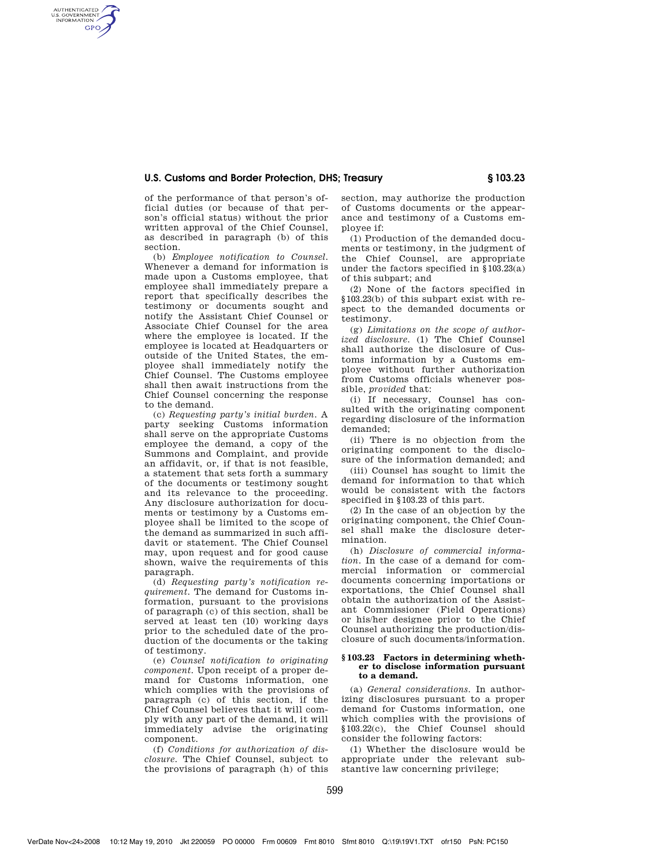## **U.S. Customs and Border Protection, DHS; Treasury § 103.23**

of the performance of that person's official duties (or because of that person's official status) without the prior written approval of the Chief Counsel, as described in paragraph (b) of this section.

AUTHENTICATED<br>U.S. GOVERNMENT<br>INFORMATION **GPO** 

> (b) *Employee notification to Counsel.*  Whenever a demand for information is made upon a Customs employee, that employee shall immediately prepare a report that specifically describes the testimony or documents sought and notify the Assistant Chief Counsel or Associate Chief Counsel for the area where the employee is located. If the employee is located at Headquarters or outside of the United States, the employee shall immediately notify the Chief Counsel. The Customs employee shall then await instructions from the Chief Counsel concerning the response to the demand.

> (c) *Requesting party's initial burden.* A party seeking Customs information shall serve on the appropriate Customs employee the demand, a copy of the Summons and Complaint, and provide an affidavit, or, if that is not feasible, a statement that sets forth a summary of the documents or testimony sought and its relevance to the proceeding. Any disclosure authorization for documents or testimony by a Customs employee shall be limited to the scope of the demand as summarized in such affidavit or statement. The Chief Counsel may, upon request and for good cause shown, waive the requirements of this paragraph.

> (d) *Requesting party's notification requirement.* The demand for Customs information, pursuant to the provisions of paragraph (c) of this section, shall be served at least ten (10) working days prior to the scheduled date of the production of the documents or the taking of testimony.

> (e) *Counsel notification to originating component.* Upon receipt of a proper demand for Customs information, one which complies with the provisions of paragraph (c) of this section, if the Chief Counsel believes that it will comply with any part of the demand, it will immediately advise the originating component.

> (f) *Conditions for authorization of disclosure.* The Chief Counsel, subject to the provisions of paragraph (h) of this

section, may authorize the production of Customs documents or the appearance and testimony of a Customs employee if:

(1) Production of the demanded documents or testimony, in the judgment of the Chief Counsel, are appropriate under the factors specified in §103.23(a) of this subpart; and

(2) None of the factors specified in §103.23(b) of this subpart exist with respect to the demanded documents or testimony.

(g) *Limitations on the scope of authorized disclosure.* (1) The Chief Counsel shall authorize the disclosure of Customs information by a Customs employee without further authorization from Customs officials whenever possible, *provided* that:

(i) If necessary, Counsel has consulted with the originating component regarding disclosure of the information demanded;

(ii) There is no objection from the originating component to the disclosure of the information demanded; and

(iii) Counsel has sought to limit the demand for information to that which would be consistent with the factors specified in §103.23 of this part.

(2) In the case of an objection by the originating component, the Chief Counsel shall make the disclosure determination.

(h) *Disclosure of commercial information.* In the case of a demand for commercial information or commercial documents concerning importations or exportations, the Chief Counsel shall obtain the authorization of the Assistant Commissioner (Field Operations) or his/her designee prior to the Chief Counsel authorizing the production/disclosure of such documents/information.

#### **§ 103.23 Factors in determining whether to disclose information pursuant to a demand.**

(a) *General considerations.* In authorizing disclosures pursuant to a proper demand for Customs information, one which complies with the provisions of §103.22(c), the Chief Counsel should consider the following factors:

(1) Whether the disclosure would be appropriate under the relevant substantive law concerning privilege;